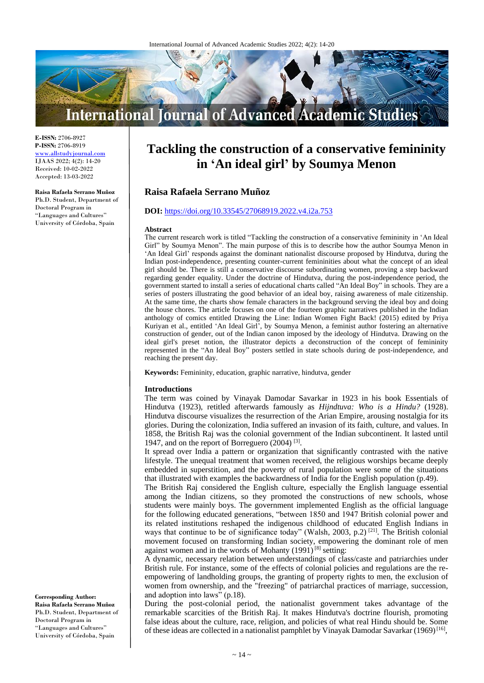

**E-ISSN:** 2706-8927 **P-ISSN:** 2706-8919 <www.allstudyjournal.com> IJAAS 2022; 4(2): 14-20 Received: 10-02-2022 Accepted: 13-03-2022

#### **Raisa Rafaela Serrano Muñoz**

Ph.D. Student, Department of Doctoral Program in "Languages and Cultures" University of Córdoba, Spain

# **Tackling the construction of a conservative femininity in 'An ideal girl' by Soumya Menon**

# **Raisa Rafaela Serrano Muñoz**

# **DOI:** <https://doi.org/10.33545/27068919.2022.v4.i2a.753>

#### **Abstract**

The current research work is titled "Tackling the construction of a conservative femininity in 'An Ideal Girl" by Soumya Menon". The main purpose of this is to describe how the author Soumya Menon in 'An Ideal Girl' responds against the dominant nationalist discourse proposed by Hindutva, during the Indian post-independence, presenting counter-current femininities about what the concept of an ideal girl should be. There is still a conservative discourse subordinating women, proving a step backward regarding gender equality. Under the doctrine of Hindutva, during the post-independence period, the government started to install a series of educational charts called "An Ideal Boy" in schools. They are a series of posters illustrating the good behavior of an ideal boy, raising awareness of male citizenship. At the same time, the charts show female characters in the background serving the ideal boy and doing the house chores. The article focuses on one of the fourteen graphic narratives published in the Indian anthology of comics entitled Drawing the Line: Indian Women Fight Back! (2015) edited by Priya Kuriyan et al., entitled 'An Ideal Girl', by Soumya Menon, a feminist author fostering an alternative construction of gender, out of the Indian canon imposed by the ideology of Hindutva. Drawing on the ideal girl's preset notion, the illustrator depicts a deconstruction of the concept of femininity represented in the "An Ideal Boy" posters settled in state schools during de post-independence, and reaching the present day.

**Keywords:** Femininity, education, graphic narrative, hindutva, gender

#### **Introductions**

The term was coined by Vinayak Damodar Savarkar in 1923 in his book Essentials of Hindutva (1923), retitled afterwards famously as *Hijndtuva: Who is a Hindu?* (1928). Hindutva discourse visualizes the resurrection of the Arian Empire, arousing nostalgia for its glories. During the colonization, India suffered an invasion of its faith, culture, and values. In 1858, the British Raj was the colonial government of the Indian subcontinent. It lasted until 1947, and on the report of Borreguero (2004)<sup>[3]</sup>.

It spread over India a pattern or organization that significantly contrasted with the native lifestyle. The unequal treatment that women received, the religious worships became deeply embedded in superstition, and the poverty of rural population were some of the situations that illustrated with examples the backwardness of India for the English population (p.49).

The British Raj considered the English culture, especially the English language essential among the Indian citizens, so they promoted the constructions of new schools, whose students were mainly boys. The government implemented English as the official language for the following educated generations, "between 1850 and 1947 British colonial power and its related institutions reshaped the indigenous childhood of educated English Indians in ways that continue to be of significance today" (Walsh, 2003, p.2)<sup>[21]</sup>. The British colonial movement focused on transforming Indian society, empowering the dominant role of men against women and in the words of Mohanty (1991)<sup>[8]</sup> setting:

A dynamic, necessary relation between understandings of class/caste and patriarchies under British rule. For instance, some of the effects of colonial policies and regulations are the reempowering of landholding groups, the granting of property rights to men, the exclusion of women from ownership, and the "freezing" of patriarchal practices of marriage, succession, and adoption into laws" (p.18).

During the post-colonial period, the nationalist government takes advantage of the remarkable scarcities of the British Raj. It makes Hindutva's doctrine flourish, promoting false ideas about the culture, race, religion, and policies of what real Hindu should be. Some of these ideas are collected in a nationalist pamphlet by Vinayak Damodar Savarkar (1969)<sup>[16]</sup>,

**Corresponding Author: Raisa Rafaela Serrano Muñoz** Ph.D. Student, Department of Doctoral Program in "Languages and Cultures" University of Córdoba, Spain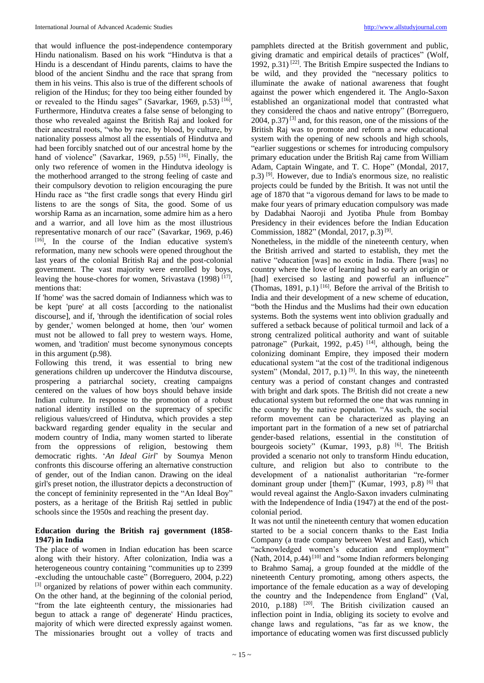that would influence the post-independence contemporary Hindu nationalism. Based on his work "Hindutva is that a Hindu is a descendant of Hindu parents, claims to have the blood of the ancient Sindhu and the race that sprang from them in his veins. This also is true of the different schools of religion of the Hindus; for they too being either founded by or revealed to the Hindu sages" (Savarkar, 1969, p.53)<sup>[16]</sup>, Furthermore, Hindutva creates a false sense of belonging to those who revealed against the British Raj and looked for their ancestral roots, "who by race, by blood, by culture, by nationality possess almost all the essentials of Hindutva and had been forcibly snatched out of our ancestral home by the hand of violence" (Savarkar, 1969, p.55)<sup>[16]</sup>, Finally, the only two reference of women in the Hindutva ideology is the motherhood arranged to the strong feeling of caste and their compulsory devotion to religion encouraging the pure Hindu race as "the first cradle songs that every Hindu girl listens to are the songs of Sita, the good. Some of us worship Rama as an incarnation, some admire him as a hero and a warrior, and all love him as the most illustrious representative monarch of our race" (Savarkar, 1969, p.46) [16] , In the course of the Indian educative system's reformation, many new schools were opened throughout the last years of the colonial British Raj and the post-colonial government. The vast majority were enrolled by boys, leaving the house-chores for women, Srivastava (1998)<sup>[17]</sup>, mentions that:

If 'home' was the sacred domain of Indianness which was to be kept 'pure' at all costs [according to the nationalist discourse], and if, 'through the identification of social roles by gender,' women belonged at home, then 'our' women must not be allowed to fall prey to western ways. Home, women, and 'tradition' must become synonymous concepts in this argument (p.98).

Following this trend, it was essential to bring new generations children up undercover the Hindutva discourse, prospering a patriarchal society, creating campaigns centered on the values of how boys should behave inside Indian culture. In response to the promotion of a robust national identity instilled on the supremacy of specific religious values/creed of Hindutva, which provides a step backward regarding gender equality in the secular and modern country of India, many women started to liberate from the oppressions of religion, bestowing them democratic rights. '*An Ideal Girl*' by Soumya Menon confronts this discourse offering an alternative construction of gender, out of the Indian canon. Drawing on the ideal girl's preset notion, the illustrator depicts a deconstruction of the concept of femininity represented in the "An Ideal Boy" posters, as a heritage of the British Raj settled in public schools since the 1950s and reaching the present day.

# **Education during the British raj government (1858- 1947) in India**

The place of women in Indian education has been scarce along with their history. After colonization, India was a heterogeneous country containing "communities up to 2399 -excluding the untouchable caste" (Borreguero, 2004, p.22) [3] organized by relations of power within each community. On the other hand, at the beginning of the colonial period, "from the late eighteenth century, the missionaries had begun to attack a range of' degenerate' Hindu practices, majority of which were directed expressly against women. The missionaries brought out a volley of tracts and

pamphlets directed at the British government and public, giving dramatic and empirical details of practices" (Wolf, 1992, p.31)<sup>[22]</sup>. The British Empire suspected the Indians to be wild, and they provided the "necessary politics to illuminate the awake of national awareness that fought against the power which engendered it. The Anglo-Saxon established an organizational model that contrasted what they considered the chaos and native entropy" (Borreguero,  $2004$ , p.37)<sup>[3]</sup> and, for this reason, one of the missions of the British Raj was to promote and reform a new educational system with the opening of new schools and high schools, "earlier suggestions or schemes for introducing compulsory primary education under the British Raj came from William Adam, Captain Wingate, and T. C. Hope" (Mondal, 2017, p.3) [9] . However, due to India's enormous size, no realistic projects could be funded by the British. It was not until the age of 1870 that "a vigorous demand for laws to be made to make four years of primary education compulsory was made by Dadabhai Naoroji and Jyotiba Phule from Bombay Presidency in their evidences before the Indian Education Commission, 1882" (Mondal, 2017, p.3)<sup>[9]</sup>.

Nonetheless, in the middle of the nineteenth century, when the British arrived and started to establish, they met the native "education [was] no exotic in India. There [was] no country where the love of learning had so early an origin or [had] exercised so lasting and powerful an influence" (Thomas, 1891, p.1)<sup>[16]</sup>. Before the arrival of the British to India and their development of a new scheme of education, "both the Hindus and the Muslims had their own education systems. Both the systems went into oblivion gradually and suffered a setback because of political turmoil and lack of a strong centralized political authority and want of suitable patronage" (Purkait, 1992, p.45)<sup>[14]</sup>, although, being the colonizing dominant Empire, they imposed their modern educational system "at the cost of the traditional indigenous system" (Mondal, 2017, p.1)<sup>[9]</sup>. In this way, the nineteenth century was a period of constant changes and contrasted with bright and dark spots. The British did not create a new educational system but reformed the one that was running in the country by the native population. "As such, the social reform movement can be characterized as playing an important part in the formation of a new set of patriarchal gender-based relations, essential in the constitution of bourgeois society" (Kumar, 1993, p.8) <sup>[6]</sup>. The British provided a scenario not only to transform Hindu education, culture, and religion but also to contribute to the development of a nationalist authoritarian "re-former dominant group under [them]" (Kumar, 1993, p.8)<sup>[6]</sup> that would reveal against the Anglo-Saxon invaders culminating with the Independence of India (1947) at the end of the postcolonial period.

It was not until the nineteenth century that women education started to be a social concern thanks to the East India Company (a trade company between West and East), which "acknowledged women's education and employment" (Nath, 2014, p.44)<sup>[10]</sup> and "some Indian reformers belonging to Brahmo Samaj, a group founded at the middle of the nineteenth Century promoting, among others aspects, the importance of the female education as a way of developing the country and the Independence from England" (Val, 2010, p.188) <sup>[20]</sup>. The British civilization caused an inflection point in India, obliging its society to evolve and change laws and regulations, "as far as we know, the importance of educating women was first discussed publicly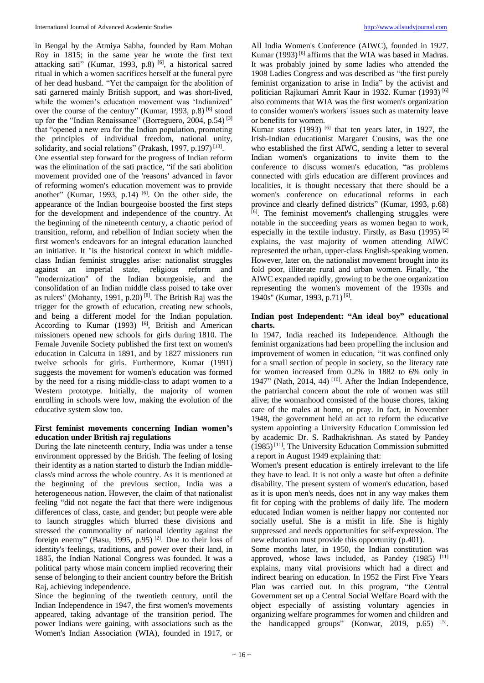in Bengal by the Atmiya Sabha, founded by Ram Mohan Roy in 1815; in the same year he wrote the first text attacking sati" (Kumar, 1993, p.8)<sup>[6]</sup>, a historical sacred ritual in which a women sacrifices herself at the funeral pyre of her dead husband. "Yet the campaign for the abolition of sati garnered mainly British support, and was short-lived, while the women's education movement was 'Indianized' over the course of the century" (Kumar, 1993, p.8) <sup>[6]</sup> stood up for the "Indian Renaissance" (Borreguero, 2004, p.54)<sup>[3]</sup> that "opened a new era for the Indian population, promoting the principles of individual freedom, national unity, solidarity, and social relations" (Prakash, 1997, p.197)<sup>[13]</sup>. One essential step forward for the progress of Indian reform was the elimination of the sati practice, "if the sati abolition movement provided one of the 'reasons' advanced in favor of reforming women's education movement was to provide another" (Kumar, 1993, p.14)  $[6]$ . On the other side, the appearance of the Indian bourgeoise boosted the first steps for the development and independence of the country. At the beginning of the nineteenth century, a chaotic period of transition, reform, and rebellion of Indian society when the first women's endeavors for an integral education launched an initiative. It "is the historical context in which middleclass Indian feminist struggles arise: nationalist struggles against an imperial state, religious reform and "modernization" of the Indian bourgeoisie, and the consolidation of an Indian middle class poised to take over as rulers" (Mohanty, 1991, p.20)<sup>[8]</sup>. The British Raj was the trigger for the growth of education, creating new schools, and being a different model for the Indian population. According to Kumar (1993) <sup>[6]</sup>, British and American missioners opened new schools for girls during 1810. The Female Juvenile Society published the first text on women's education in Calcutta in 1891, and by 1827 missioners run twelve schools for girls. Furthermore, Kumar (1991) suggests the movement for women's education was formed by the need for a rising middle-class to adapt women to a Western prototype. Initially, the majority of women enrolling in schools were low, making the evolution of the educative system slow too.

# **First feminist movements concerning Indian women's education under British raj regulations**

During the late nineteenth century, India was under a tense environment oppressed by the British. The feeling of losing their identity as a nation started to disturb the Indian middleclass's mind across the whole country. As it is mentioned at the beginning of the previous section, India was a heterogeneous nation. However, the claim of that nationalist feeling "did not negate the fact that there were indigenous differences of class, caste, and gender; but people were able to launch struggles which blurred these divisions and stressed the commonality of national identity against the foreign enemy" (Basu, 1995, p.95)<sup>[2]</sup>. Due to their loss of identity's feelings, traditions, and power over their land, in 1885, the Indian National Congress was founded. It was a political party whose main concern implied recovering their sense of belonging to their ancient country before the British Raj, achieving independence.

Since the beginning of the twentieth century, until the Indian Independence in 1947, the first women's movements appeared, taking advantage of the transition period. The power Indians were gaining, with associations such as the Women's Indian Association (WIA), founded in 1917, or

All India Women's Conference (AIWC), founded in 1927. Kumar (1993)<sup>[6]</sup> affirms that the WIA was based in Madras. It was probably joined by some ladies who attended the 1908 Ladies Congress and was described as "the first purely feminist organization to arise in India" by the activist and politician Rajkumari Amrit Kaur in 1932. Kumar (1993) [6] also comments that WIA was the first women's organization to consider women's workers' issues such as maternity leave or benefits for women.

Kumar states  $(1993)$  <sup>[6]</sup> that ten years later, in 1927, the Irish-Indian educationist Margaret Cousins, was the one who established the first AIWC, sending a letter to several Indian women's organizations to invite them to the conference to discuss women's education, "as problems connected with girls education are different provinces and localities, it is thought necessary that there should be a women's conference on educational reforms in each province and clearly defined districts" (Kumar, 1993, p.68) [6] . The feminist movement's challenging struggles were notable in the succeeding years as women began to work, especially in the textile industry. Firstly, as Basu (1995) [2] explains, the vast majority of women attending AIWC represented the urban, upper-class English-speaking women. However, later on, the nationalist movement brought into its fold poor, illiterate rural and urban women. Finally, "the AIWC expanded rapidly, growing to be the one organization representing the women's movement of the 1930s and 1940s" (Kumar, 1993, p.71)<sup>[6]</sup>.

# **Indian post Independent: "An ideal boy" educational charts.**

In 1947, India reached its Independence. Although the feminist organizations had been propelling the inclusion and improvement of women in education, "it was confined only for a small section of people in society, so the literacy rate for women increased from 0.2% in 1882 to 6% only in 1947" (Nath, 2014, 44)<sup>[10]</sup>. After the Indian Independence, the patriarchal concern about the role of women was still alive; the womanhood consisted of the house chores, taking care of the males at home, or pray. In fact, in November 1948, the government held an act to reform the educative system appointing a University Education Commission led by academic Dr. S. Radhakrishnan. As stated by Pandey (1985) [11] , The University Education Commission submitted a report in August 1949 explaining that:

Women's present education is entirely irrelevant to the life they have to lead. It is not only a waste but often a definite disability. The present system of women's education, based as it is upon men's needs, does not in any way makes them fit for coping with the problems of daily life. The modern educated Indian women is neither happy nor contented nor socially useful. She is a misfit in life. She is highly suppressed and needs opportunities for self-expression. The new education must provide this opportunity (p.401).

Some months later, in 1950, the Indian constitution was approved, whose laws included, as Pandey (1985) [11] explains, many vital provisions which had a direct and indirect bearing on education. In 1952 the First Five Years Plan was carried out. In this program, "the Central Government set up a Central Social Welfare Board with the object especially of assisting voluntary agencies in organizing welfare programmes for women and children and the handicapped groups" (Konwar, 2019, p.65)  $[5]$ .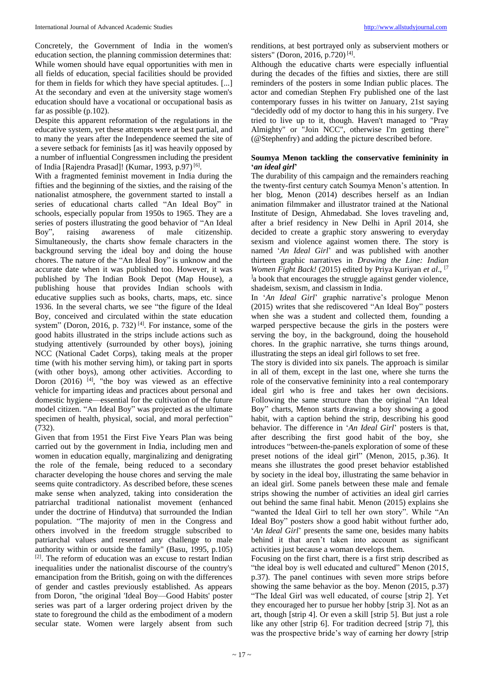Concretely, the Government of India in the women's education section, the planning commission determines that: While women should have equal opportunities with men in all fields of education, special facilities should be provided for them in fields for which they have special aptitudes. [...] At the secondary and even at the university stage women's education should have a vocational or occupational basis as far as possible (p.102).

Despite this apparent reformation of the regulations in the educative system, yet these attempts were at best partial, and to many the years after the Independence seemed the site of a severe setback for feminists [as it] was heavily opposed by a number of influential Congressmen including the president of India [Rajendra Prasad]! (Kumar, 1993, p.97)<sup>[6]</sup>.

With a fragmented feminist movement in India during the fifties and the beginning of the sixties, and the raising of the nationalist atmosphere, the government started to install a series of educational charts called "An Ideal Boy" in schools, especially popular from 1950s to 1965. They are a series of posters illustrating the good behavior of "An Ideal Boy", raising awareness of male citizenship. Simultaneously, the charts show female characters in the background serving the ideal boy and doing the house chores. The nature of the "An Ideal Boy" is unknow and the accurate date when it was published too. However, it was published by The Indian Book Depot (Map House), a publishing house that provides Indian schools with educative supplies such as books, charts, maps, etc. since 1936. In the several charts, we see "the figure of the Ideal Boy, conceived and circulated within the state education system" (Doron, 2016, p. 732)<sup>[4]</sup>. For instance, some of the good habits illustrated in the strips include actions such as studying attentively (surrounded by other boys), joining NCC (National Cadet Corps), taking meals at the proper time (with his mother serving him), or taking part in sports (with other boys), among other activities. According to Doron  $(2016)$  <sup>[4]</sup>, "the boy was viewed as an effective vehicle for imparting ideas and practices about personal and domestic hygiene—essential for the cultivation of the future model citizen. "An Ideal Boy" was projected as the ultimate specimen of health, physical, social, and moral perfection" (732).

Given that from 1951 the First Five Years Plan was being carried out by the government in India, including men and women in education equally, marginalizing and denigrating the role of the female, being reduced to a secondary character developing the house chores and serving the male seems quite contradictory. As described before, these scenes make sense when analyzed, taking into consideration the patriarchal traditional nationalist movement (enhanced under the doctrine of Hindutva) that surrounded the Indian population. "The majority of men in the Congress and others involved in the freedom struggle subscribed to patriarchal values and resented any challenge to male authority within or outside the family" (Basu, 1995, p.105) <sup>[2]</sup>. The reform of education was an excuse to restart Indian inequalities under the nationalist discourse of the country's emancipation from the British, going on with the differences of gender and castles previously established. As appears from Doron, "the original 'Ideal Boy—Good Habits' poster series was part of a larger ordering project driven by the state to foreground the child as the embodiment of a modern secular state. Women were largely absent from such

renditions, at best portrayed only as subservient mothers or sisters" (Doron, 2016, p.720)<sup>[4]</sup>.

Although the educative charts were especially influential during the decades of the fifties and sixties, there are still reminders of the posters in some Indian public places. The actor and comedian Stephen Fry published one of the last contemporary fusses in his twitter on January, 21st saying "decidedly odd of my doctor to hang this in his surgery. I've tried to live up to it, though. Haven't managed to "Pray Almighty" or "Join NCC", otherwise I'm getting there" (@Stephenfry) and adding the picture described before.

# **Soumya Menon tackling the conservative femininity in '***an ideal girl***'**

The durability of this campaign and the remainders reaching the twenty-first century catch Soumya Menon's attention. In her blog, Menon (2014) describes herself as an Indian animation filmmaker and illustrator trained at the National Institute of Design, Ahmedabad. She loves traveling and, after a brief residency in New Delhi in April 2014, she decided to create a graphic story answering to everyday sexism and violence against women there. The story is named '*An Ideal Girl*' and was published with another thirteen graphic narratives in *Drawing the Line: Indian Women Fight Back!* (2015) edited by Priya Kuriyan *et al*., [7 la book that encourages the struggle against gender violence, shadeism, sexism, and classism in India.

In '*An Ideal Girl*' graphic narrative's prologue Menon (2015) writes that she rediscovered "An Ideal Boy" posters when she was a student and collected them, founding a warped perspective because the girls in the posters were serving the boy, in the background, doing the household chores. In the graphic narrative, she turns things around, illustrating the steps an ideal girl follows to set free.

The story is divided into six panels. The approach is similar in all of them, except in the last one, where she turns the role of the conservative femininity into a real contemporary ideal girl who is free and takes her own decisions. Following the same structure than the original "An Ideal Boy" charts, Menon starts drawing a boy showing a good habit, with a caption behind the strip, describing his good behavior. The difference in '*An Ideal Girl*' posters is that, after describing the first good habit of the boy, she introduces "between-the-panels exploration of some of these preset notions of the ideal girl" (Menon, 2015, p.36). It means she illustrates the good preset behavior established by society in the ideal boy, illustrating the same behavior in an ideal girl. Some panels between these male and female strips showing the number of activities an ideal girl carries out behind the same final habit. Menon (2015) explains she "wanted the Ideal Girl to tell her own story". While "An Ideal Boy" posters show a good habit without further ado, '*An Ideal Girl*' presents the same one, besides many habits behind it that aren't taken into account as significant activities just because a woman develops them.

Focusing on the first chart, there is a first strip described as "the ideal boy is well educated and cultured" Menon (2015, p.37). The panel continues with seven more strips before showing the same behavior as the boy. Menon (2015, p.37) "The Ideal Girl was well educated, of course [strip 2]. Yet they encouraged her to pursue her hobby [strip 3]. Not as an art, though [strip 4]. Or even a skill [strip 5]. But just a role like any other [strip 6]. For tradition decreed [strip 7], this was the prospective bride's way of earning her dowry [strip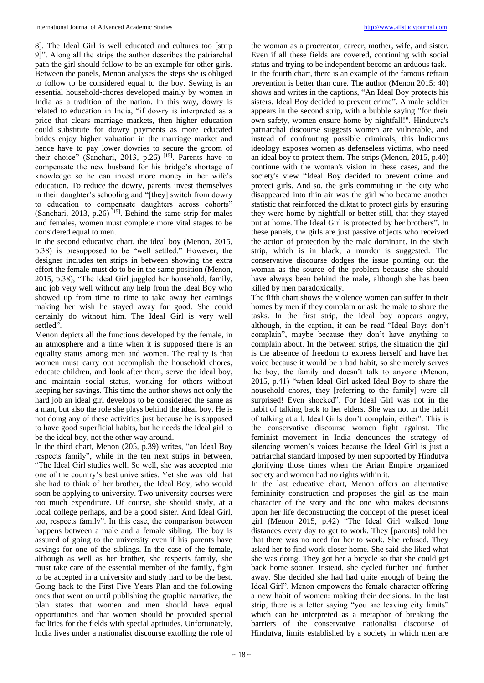8]. The Ideal Girl is well educated and cultures too [strip 9]". Along all the strips the author describes the patriarchal path the girl should follow to be an example for other girls. Between the panels, Menon analyses the steps she is obliged to follow to be considered equal to the boy. Sewing is an essential household-chores developed mainly by women in India as a tradition of the nation. In this way, dowry is related to education in India, "if dowry is interpreted as a price that clears marriage markets, then higher education could substitute for dowry payments as more educated brides enjoy higher valuation in the marriage market and hence have to pay lower dowries to secure the groom of their choice" (Sanchari, 2013, p.26)<sup>[15]</sup>. Parents have to compensate the new husband for his bridge's shortage of knowledge so he can invest more money in her wife's education. To reduce the dowry, parents invest themselves in their daughter's schooling and "[they] switch from dowry to education to compensate daughters across cohorts" (Sanchari, 2013, p.26)<sup>[15]</sup>. Behind the same strip for males and females, women must complete more vital stages to be considered equal to men.

In the second educative chart, the ideal boy (Menon, 2015, p.38) is presupposed to be "well settled." However, the designer includes ten strips in between showing the extra effort the female must do to be in the same position (Menon, 2015, p.38), "The Ideal Girl juggled her household, family, and job very well without any help from the Ideal Boy who showed up from time to time to take away her earnings making her wish he stayed away for good. She could certainly do without him. The Ideal Girl is very well settled".

Menon depicts all the functions developed by the female, in an atmosphere and a time when it is supposed there is an equality status among men and women. The reality is that women must carry out accomplish the household chores, educate children, and look after them, serve the ideal boy, and maintain social status, working for others without keeping her savings. This time the author shows not only the hard job an ideal girl develops to be considered the same as a man, but also the role she plays behind the ideal boy. He is not doing any of these activities just because he is supposed to have good superficial habits, but he needs the ideal girl to be the ideal boy, not the other way around.

In the third chart, Menon (205, p.39) writes, "an Ideal Boy respects family", while in the ten next strips in between, "The Ideal Girl studies well. So well, she was accepted into one of the country's best universities. Yet she was told that she had to think of her brother, the Ideal Boy, who would soon be applying to university. Two university courses were too much expenditure. Of course, she should study, at a local college perhaps, and be a good sister. And Ideal Girl, too, respects family". In this case, the comparison between happens between a male and a female sibling. The boy is assured of going to the university even if his parents have savings for one of the siblings. In the case of the female, although as well as her brother, she respects family, she must take care of the essential member of the family, fight to be accepted in a university and study hard to be the best. Going back to the First Five Years Plan and the following ones that went on until publishing the graphic narrative, the plan states that women and men should have equal opportunities and that women should be provided special facilities for the fields with special aptitudes. Unfortunately, India lives under a nationalist discourse extolling the role of

the woman as a procreator, career, mother, wife, and sister. Even if all these fields are covered, continuing with social status and trying to be independent become an arduous task. In the fourth chart, there is an example of the famous refrain prevention is better than cure. The author (Menon 2015: 40) shows and writes in the captions, "An Ideal Boy protects his sisters. Ideal Boy decided to prevent crime". A male soldier appears in the second strip, with a bubble saying "for their own safety, women ensure home by nightfall!". Hindutva's patriarchal discourse suggests women are vulnerable, and instead of confronting possible criminals, this ludicrous ideology exposes women as defenseless victims, who need an ideal boy to protect them. The strips (Menon, 2015, p.40) continue with the woman's vision in these cases, and the society's view "Ideal Boy decided to prevent crime and protect girls. And so, the girls commuting in the city who disappeared into thin air was the girl who became another statistic that reinforced the diktat to protect girls by ensuring they were home by nightfall or better still, that they stayed put at home. The Ideal Girl is protected by her brothers". In these panels, the girls are just passive objects who received the action of protection by the male dominant. In the sixth strip, which is in black, a murder is suggested. The conservative discourse dodges the issue pointing out the woman as the source of the problem because she should have always been behind the male, although she has been killed by men paradoxically.

The fifth chart shows the violence women can suffer in their homes by men if they complain or ask the male to share the tasks. In the first strip, the ideal boy appears angry, although, in the caption, it can be read "Ideal Boys don't complain", maybe because they don't have anything to complain about. In the between strips, the situation the girl is the absence of freedom to express herself and have her voice because it would be a bad habit, so she merely serves the boy, the family and doesn't talk to anyone (Menon, 2015, p.41) "when Ideal Girl asked Ideal Boy to share the household chores, they [referring to the family] were all surprised! Even shocked". For Ideal Girl was not in the habit of talking back to her elders. She was not in the habit of talking at all. Ideal Girls don't complain, either". This is the conservative discourse women fight against. The feminist movement in India denounces the strategy of silencing women's voices because the Ideal Girl is just a patriarchal standard imposed by men supported by Hindutva glorifying those times when the Arian Empire organized society and women had no rights within it.

In the last educative chart, Menon offers an alternative femininity construction and proposes the girl as the main character of the story and the one who makes decisions upon her life deconstructing the concept of the preset ideal girl (Menon 2015, p.42) "The Ideal Girl walked long distances every day to get to work. They [parents] told her that there was no need for her to work. She refused. They asked her to find work closer home. She said she liked what she was doing. They got her a bicycle so that she could get back home sooner. Instead, she cycled further and further away. She decided she had had quite enough of being the Ideal Girl". Menon empowers the female character offering a new habit of women: making their decisions. In the last strip, there is a letter saying "you are leaving city limits" which can be interpreted as a metaphor of breaking the barriers of the conservative nationalist discourse of Hindutva, limits established by a society in which men are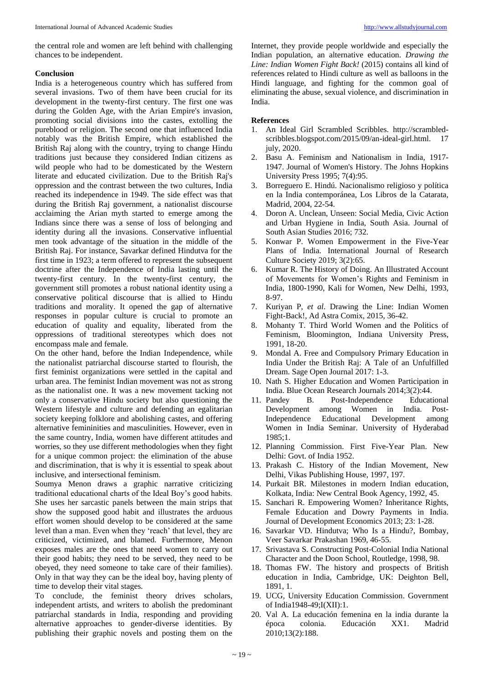the central role and women are left behind with challenging chances to be independent.

### **Conclusion**

India is a heterogeneous country which has suffered from several invasions. Two of them have been crucial for its development in the twenty-first century. The first one was during the Golden Age, with the Arian Empire's invasion, promoting social divisions into the castes, extolling the pureblood or religion. The second one that influenced India notably was the British Empire, which established the British Raj along with the country, trying to change Hindu traditions just because they considered Indian citizens as wild people who had to be domesticated by the Western literate and educated civilization. Due to the British Raj's oppression and the contrast between the two cultures, India reached its independence in 1949. The side effect was that during the British Raj government, a nationalist discourse acclaiming the Arian myth started to emerge among the Indians since there was a sense of loss of belonging and identity during all the invasions. Conservative influential men took advantage of the situation in the middle of the British Raj. For instance, Savarkar defined Hindutva for the first time in 1923; a term offered to represent the subsequent doctrine after the Independence of India lasting until the twenty-first century. In the twenty-first century, the government still promotes a robust national identity using a conservative political discourse that is allied to Hindu traditions and morality. It opened the gap of alternative responses in popular culture is crucial to promote an education of quality and equality, liberated from the oppressions of traditional stereotypes which does not encompass male and female.

On the other hand, before the Indian Independence, while the nationalist patriarchal discourse started to flourish, the first feminist organizations were settled in the capital and urban area. The feminist Indian movement was not as strong as the nationalist one. It was a new movement tacking not only a conservative Hindu society but also questioning the Western lifestyle and culture and defending an egalitarian society keeping folklore and abolishing castes, and offering alternative femininities and masculinities. However, even in the same country, India, women have different attitudes and worries, so they use different methodologies when they fight for a unique common project: the elimination of the abuse and discrimination, that is why it is essential to speak about inclusive, and intersectional feminism.

Soumya Menon draws a graphic narrative criticizing traditional educational charts of the Ideal Boy's good habits. She uses her sarcastic panels between the main strips that show the supposed good habit and illustrates the arduous effort women should develop to be considered at the same level than a man. Even when they 'reach' that level, they are criticized, victimized, and blamed. Furthermore, Menon exposes males are the ones that need women to carry out their good habits; they need to be served, they need to be obeyed, they need someone to take care of their families). Only in that way they can be the ideal boy, having plenty of time to develop their vital stages.

To conclude, the feminist theory drives scholars, independent artists, and writers to abolish the predominant patriarchal standards in India, responding and providing alternative approaches to gender-diverse identities. By publishing their graphic novels and posting them on the

Internet, they provide people worldwide and especially the Indian population, an alternative education. *Drawing the Line: Indian Women Fight Back!* (2015) contains all kind of references related to Hindi culture as well as balloons in the Hindi language, and fighting for the common goal of eliminating the abuse, sexual violence, and discrimination in India.

# **References**

- 1. An Ideal Girl Scrambled Scribbles. http://scrambledscribbles.blogspot.com/2015/09/an-ideal-girl.html. 17 july, 2020.
- 2. Basu A. Feminism and Nationalism in India, 1917- 1947. Journal of Women's History. The Johns Hopkins University Press 1995; 7(4):95.
- 3. Borreguero E. Hindú. Nacionalismo religioso y política en la India contemporánea, Los Libros de la Catarata, Madrid, 2004, 22-54.
- 4. Doron A. Unclean, Unseen: Social Media, Civic Action and Urban Hygiene in India, South Asia. Journal of South Asian Studies 2016; 732.
- 5. Konwar P. Women Empowerment in the Five-Year Plans of India. International Journal of Research Culture Society 2019; 3(2):65.
- 6. Kumar R. The History of Doing. An Illustrated Account of Movements for Women's Rights and Feminism in India, 1800-1990, Kali for Women, New Delhi, 1993, 8-97.
- 7. Kuriyan P, *et al*. Drawing the Line: Indian Women Fight-Back!, Ad Astra Comix, 2015, 36-42.
- 8. Mohanty T. Third World Women and the Politics of Feminism, Bloomington, Indiana University Press, 1991, 18-20.
- 9. Mondal A. Free and Compulsory Primary Education in India Under the British Raj: A Tale of an Unfulfilled Dream. Sage Open Journal 2017: 1-3.
- 10. Nath S. Higher Education and Women Participation in India. Blue Ocean Research Journals 2014;3(2):44.
- 11. Pandey B. Post-Independence Educational Development among Women in India. Post-Independence Educational Development among Women in India Seminar. University of Hyderabad 1985;1.
- 12. Planning Commission. First Five-Year Plan. New Delhi: Govt. of India 1952.
- 13. Prakash C. History of the Indian Movement, New Delhi, Vikas Publishing House, 1997, 197.
- 14. Purkait BR. Milestones in modern Indian education, Kolkata, India: New Central Book Agency, 1992, 45.
- 15. Sanchari R. Empowering Women? Inheritance Rights, Female Education and Dowry Payments in India. Journal of Development Economics 2013; 23: 1-28.
- 16. Savarkar VD. Hindutva; Who Is a Hindu?, Bombay, Veer Savarkar Prakashan 1969, 46-55.
- 17. Srivastava S. Constructing Post-Colonial India National Character and the Doon School, Routledge, 1998, 98.
- 18. Thomas FW. The history and prospects of British education in India, Cambridge, UK: Deighton Bell, 1891, 1.
- 19. UCG, University Education Commission. Government of India1948-49;I(XII):1.
- 20. Val A. La educación femenina en la india durante la época colonia. Educación XX1. Madrid 2010;13(2):188.